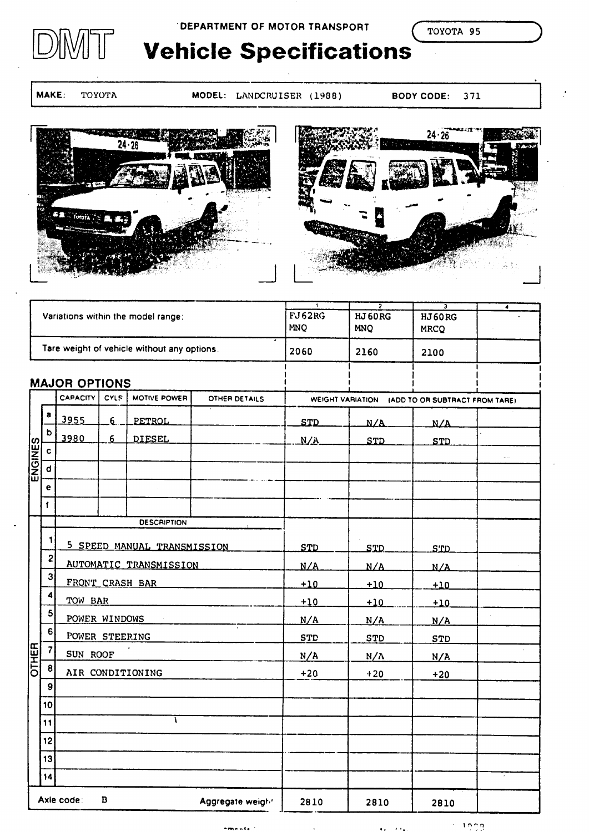# **DEPARTMENT OF MOTOR TRANSPORT**

TOYOTA 95

# **Vehicle Specifications**

MAKE: TOYOTA

- MODEL: LANDCRUISER (1988)
- BODY CODE: 371





|                                     |                                             |                                                          |                | Variations within the model range: |                                                 | $\mathbf{1}$<br>FJ62RG<br><b>MNQ</b> | $\overline{z}$<br>HJ 60RG<br><b>MNO</b> | 7<br><b>HJ60RG</b><br><b>MRCQ</b> | T             |
|-------------------------------------|---------------------------------------------|----------------------------------------------------------|----------------|------------------------------------|-------------------------------------------------|--------------------------------------|-----------------------------------------|-----------------------------------|---------------|
|                                     | Tare weight of vehicle without any options. |                                                          |                |                                    |                                                 | 2060                                 | 2160                                    | 2100                              |               |
|                                     | <b>MAJOR OPTIONS</b>                        |                                                          |                |                                    |                                                 |                                      |                                         |                                   |               |
|                                     |                                             | <b>CAPACITY</b><br>CYLS<br>MOTIVE POWER<br>OTHER DETAILS |                |                                    | WEIGHT VARIATION (ADD TO OR SUBTRACT FROM TARE) |                                      |                                         |                                   |               |
|                                     | a                                           | 3955                                                     | 6 <sub>1</sub> | PETROL                             |                                                 | <b>STD</b>                           | N/A                                     | N/A                               |               |
|                                     | b                                           | 3980                                                     | 6 <sup>1</sup> | <b>DIESEL</b>                      |                                                 | N/A                                  | STD                                     | <b>STD</b>                        |               |
| ENGINES                             | c                                           |                                                          |                |                                    |                                                 |                                      |                                         |                                   | $\sim$ $\sim$ |
|                                     | d                                           |                                                          |                |                                    |                                                 |                                      |                                         |                                   |               |
|                                     | e<br>$\mathbf{f}$                           |                                                          |                |                                    |                                                 |                                      |                                         |                                   |               |
|                                     |                                             |                                                          |                | <b>DESCRIPTION</b>                 |                                                 |                                      |                                         |                                   |               |
|                                     | 1                                           |                                                          |                |                                    |                                                 |                                      |                                         |                                   |               |
|                                     |                                             | 5 SPEED MANUAL TRANSMISSION                              |                |                                    |                                                 | <b>STD</b>                           | STD.                                    | <b>STD</b>                        |               |
|                                     | $\mathbf{2}$                                | AUTOMATIC TRANSMISSION                                   |                |                                    |                                                 | N/A                                  | N/A                                     | N/A                               |               |
|                                     | 3                                           | FRONT CRASH BAR                                          |                |                                    |                                                 | $+10$                                | $+10$                                   | $+10$                             |               |
|                                     | 4                                           | TOW BAR                                                  |                |                                    |                                                 | $+10$                                | ±10                                     | $+10$                             |               |
|                                     | 5                                           | POWER WINDOWS<br>$\sim 10^{11}$ eV.                      |                |                                    |                                                 | N/A                                  | N/A                                     | N/A                               |               |
|                                     | 6                                           | POWER STEERING                                           |                |                                    |                                                 | <b>STD</b>                           | <b>STD</b>                              | <b>STD</b>                        |               |
| <b>OTHER</b>                        | $\overline{\mathbf{z}}$                     | SUN ROOF                                                 |                |                                    | N/A                                             | $N/\Lambda$                          | N/A                                     |                                   |               |
|                                     | 8                                           | AIR CONDITIONING                                         |                |                                    |                                                 | $+20$                                | $+20$                                   | $+20$                             |               |
|                                     | 9                                           |                                                          |                |                                    |                                                 |                                      |                                         |                                   |               |
|                                     | 10                                          |                                                          |                |                                    |                                                 |                                      |                                         |                                   |               |
|                                     | 11                                          |                                                          |                | V                                  |                                                 |                                      |                                         |                                   |               |
|                                     | 12                                          |                                                          |                |                                    |                                                 |                                      |                                         |                                   |               |
|                                     | 13                                          |                                                          |                |                                    |                                                 |                                      |                                         |                                   |               |
|                                     | 14                                          |                                                          |                |                                    |                                                 |                                      |                                         |                                   |               |
| Axle code:<br>В<br>Aggregate weight |                                             |                                                          |                | 2810                               | 2810                                            | 2810                                 |                                         |                                   |               |